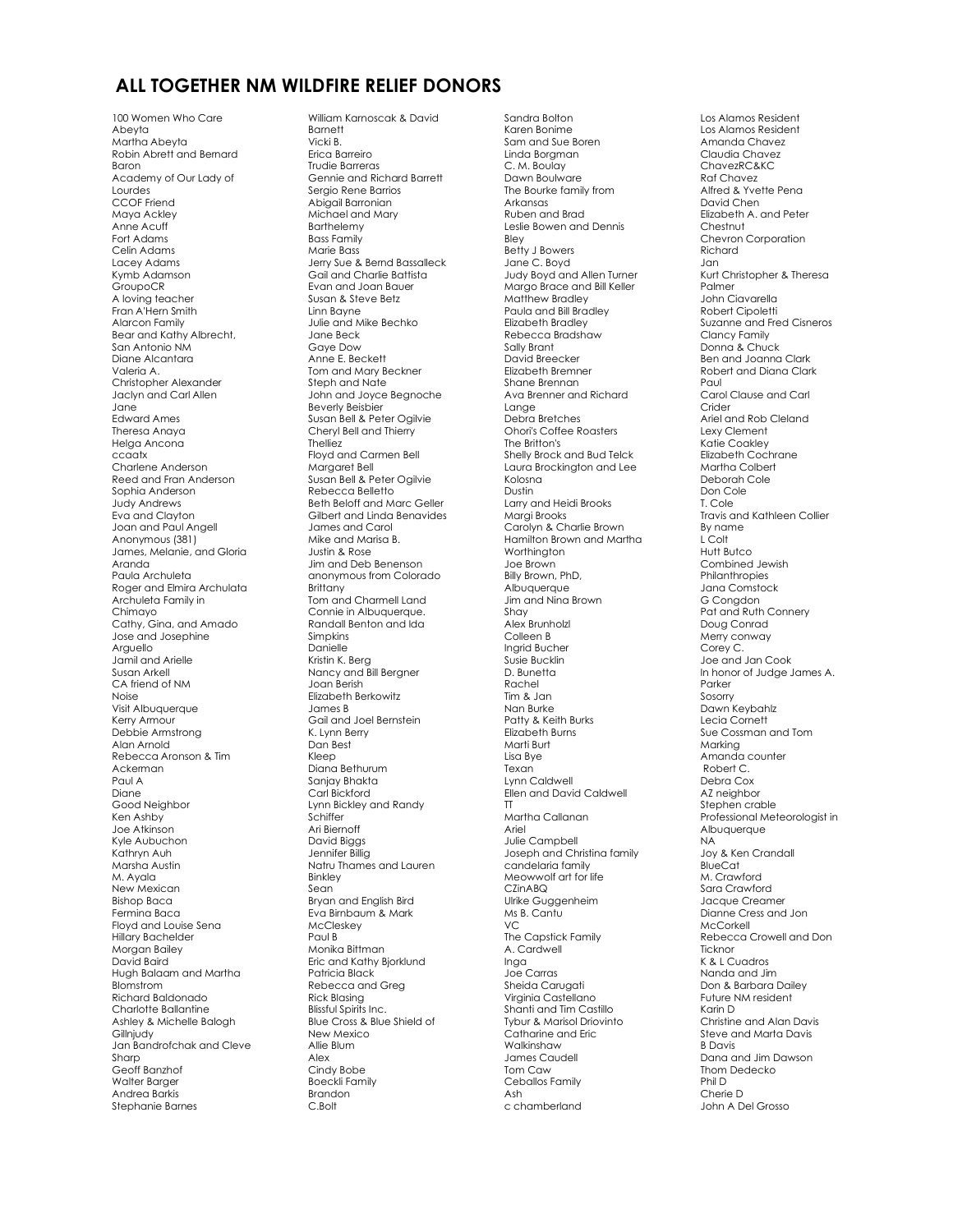## **ALL TOGETHER NM WILDFIRE RELIEF DONORS**

100 Women Who Care Abeyta Martha Abeyta Robin Abrett and Bernard Baron Academy of Our Lady of Lourdes CCOF Friend Maya Ackley Anne Acuff Fort Adams Celin Adams Lacey Adams Kymb Adamson **GroupoCR** A loving teacher Fran A'Hern Smith Alarcon Family Bear and Kathy Albrecht, San Antonio NM Diane Alcantara Valeria A. Christopher Alexander Jaclyn and Carl Allen Jane Edward Ames Theresa Anaya Helga Ancona ccaatx Charlene Anderson Reed and Fran Anderson Sophia Anderson Judy Andrews Eva and Clayton Joan and Paul Angell Anonymous (381) James, Melanie, and Gloria Aranda Paula Archuleta Roger and Elmira Archulata Archuleta Family in Chimayo Cathy, Gina, and Amado Jose and Josephine Arguello Jamil and Arielle Susan Arkell CA friend of NM Noise Visit Albuquerque Kerry Armour Debbie Armstrong Alan Arnold Rebecca Aronson & Tim Ackerman Paul A Diane Good Neighbor Ken Ashby Joe Atkinson Kyle Aubuchon Kathryn Auh Marsha Austin M. Ayala New Mexican Bishop Baca Fermina Baca Floyd and Louise Sena Hillary Bachelder Morgan Bailey David Baird Hugh Balaam and Martha Blomstrom Richard Baldonado Charlotte Ballantine Ashley & Michelle Balogh Gillniudy Jan Bandrofchak and Cleve Sharp Geoff Banzhof Walter Barger Andrea Barkis Stephanie Barnes

William Karnoscak & David **Barnett** Vicki B. Erica Barreiro Trudie Barreras Gennie and Richard Barrett Sergio Rene Barrios Abigail Barronian Michael and Mary **Barthelemy** Bass Family Marie Bass Jerry Sue & Bernd Bassalleck Gail and Charlie Battista Evan and Joan Bauer Susan & Steve Betz Linn Bayne Julie and Mike Bechko Jane Beck Gaye Dow Anne E. Beckett Tom and Mary Beckner Steph and Nate John and Joyce Begnoche Beverly Beisbier Susan Bell & Peter Ogilvie Cheryl Bell and Thierry **Thelliez** Floyd and Carmen Bell Margaret Bell Susan Bell & Peter Ogilvie Rebecca Belletto Beth Beloff and Marc Geller Gilbert and Linda Benavides James and Carol Mike and Marisa B. Justin & Rose Jim and Deb Benenson anonymous from Colorado **Brittany** Tom and Charmell Land Connie in Albuquerque. Randall Benton and Ida Simpkins Danielle Kristin K. Berg Nancy and Bill Bergner Joan Berish Elizabeth Berkowitz James B Gail and Joel Bernstein K. Lynn Berry Dan Best Kleep Diana Bethurum Sanjay Bhakta Carl Bickford Lynn Bickley and Randy **Schiffer** Ari Biernoff David Biggs Jennifer Billig Natru Thames and Lauren Binkley Sean Bryan and English Bird Eva Birnbaum & Mark McCleskey Paul B Monika Bittman Eric and Kathy Bjorklund Patricia Black Rebecca and Greg Rick Blasing Blissful Spirits Inc. Blue Cross & Blue Shield of New Mexico Allie Blum Alex Cindy Bobe Boeckli Family Brandon C.Bolt

Sandra Bolton Karen Bonime Sam and Sue Boren Linda Borgman C. M. Boulay Dawn Boulware The Bourke family from Arkansas Ruben and Brad Leslie Bowen and Dennis Bley Betty J Bowers Jane C. Boyd Judy Boyd and Allen Turner Margo Brace and Bill Keller Matthew Bradley Paula and Bill Bradley Elizabeth Bradley Rebecca Bradshaw Sally Brant David Breecker Elizabeth Bremner Shane Brennan Ava Brenner and Richard Lange Debra Bretches Ohori's Coffee Roasters The Britton's Shelly Brock and Bud Telck Laura Brockington and Lee Kolosna Dustin Larry and Heidi Brooks Margi Brooks Carolyn & Charlie Brown Hamilton Brown and Martha Worthington Joe Brown Billy Brown, PhD, Albuquerque Jim and Nina Brown Shay Alex Brunholzl Colleen B Ingrid Bucher Susie Bucklin D. Bunetta Rachel Tim & Jan Nan Burke Patty & Keith Burks Elizabeth Burns Marti Burt Lisa Bye Texan Lynn Caldwell Ellen and David Caldwell TT Martha Callanan Ariel Julie Campbell Joseph and Christina family candelaria family Meowwolf art for life CZinABQ Ulrike Guggenheim Ms B. Cantu VC The Capstick Family A. Cardwell Inga Joe Carras Sheida Carugati Virginia Castellano Shanti and Tim Castillo Tybur & Marisol Driovinto Catharine and Eric Walkinshaw James Caudell Tom Caw Ceballos Family Ash c chamberland

Los Alamos Resident Los Alamos Resident Amanda Chavez Claudia Chavez ChavezRC&KC Raf Chavez Alfred & Yvette Pena David Chen Elizabeth A. and Peter **Chestnut** Chevron Corporation Richard Jan Kurt Christopher & Theresa Palmer John Ciavarella Robert Cipoletti Suzanne and Fred Cisneros Clancy Family Donna & Chuck Ben and Joanna Clark Robert and Diana Clark Paul Carol Clause and Carl Crider Ariel and Rob Cleland Lexy Clement Katie Coakley Elizabeth Cochrane Martha Colbert Deborah Cole Don Cole T. Cole Travis and Kathleen Collier By name L Colt Hutt Butco Combined Jewish Philanthropies Jana Comstock G Congdon Pat and Ruth Connery Doug Conrad Merry conway Corey C. Joe and Jan Cook In honor of Judge James A. Parker Sosorry Dawn Keybahlz Lecia Cornett Sue Cossman and Tom Marking Amanda counter Robert C. Debra Cox AZ neighbor Stephen crable Professional Meteorologist in Albuquerque NA Joy & Ken Crandall BlueCat M. Crawford Sara Crawford Jacque Creamer Dianne Cress and Jon McCorkell Rebecca Crowell and Don Ticknor K & L Cuadros Nanda and Jim Don & Barbara Dailey Future NM resident Karin D Christine and Alan Davis Steve and Marta Davis B Davis Dana and Jim Dawson Thom Dedecko Phil D Cherie D John A Del Grosso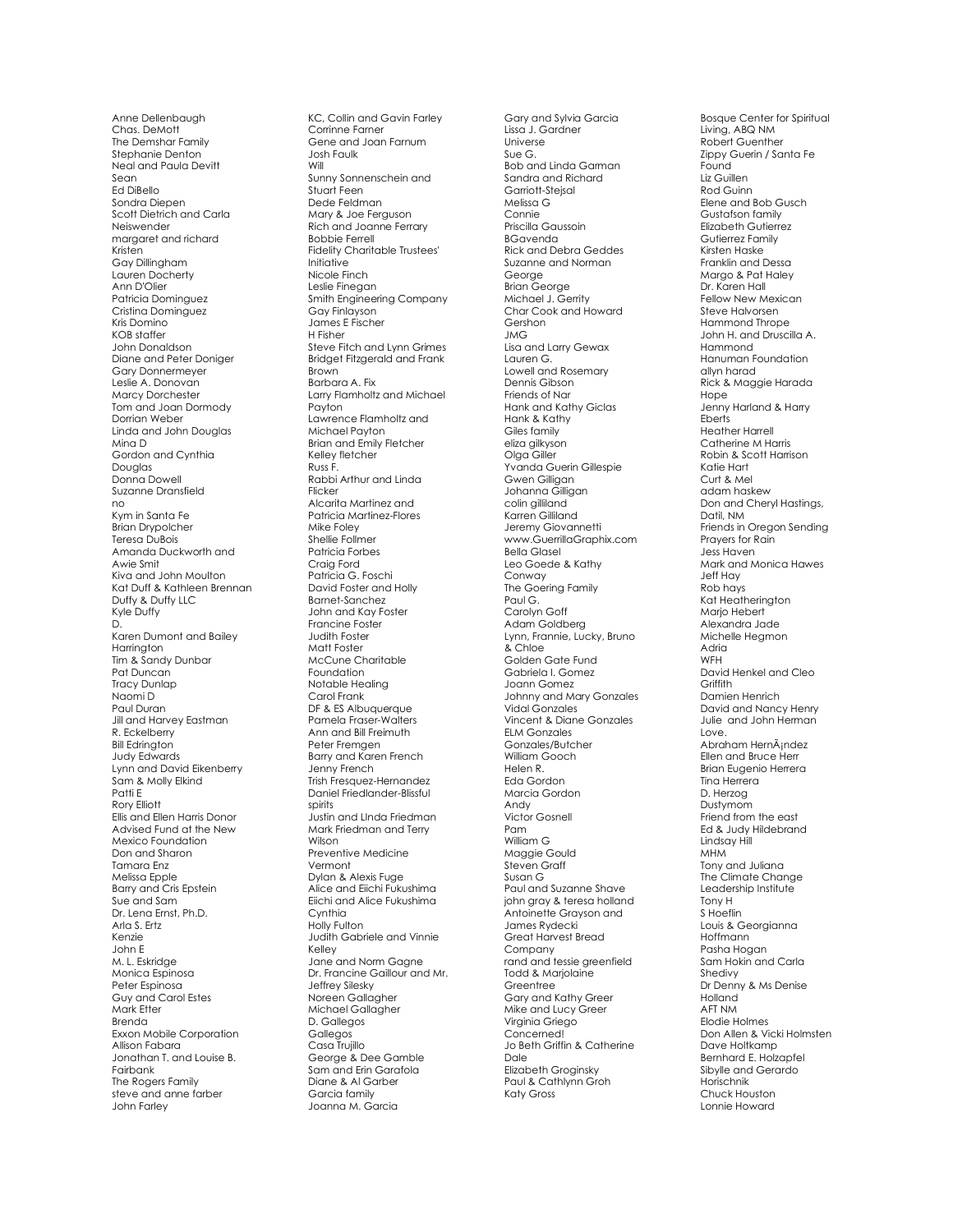Anne Dellenbaugh Chas. DeMott The Demshar Family Stephanie Denton Neal and Paula Devitt Sean Ed DiBello Sondra Diepen Scott Dietrich and Carla Neiswender margaret and richard Kristen Gay Dillingham Lauren Docherty Ann D'Olier Patricia Dominguez Cristina Dominguez Kris Domino KOB staffer John Donaldson Diane and Peter Doniger Gary Donnermeyer Leslie A. Donovan Marcy Dorchester Tom and Joan Dormody Dorrian Weber Linda and John Douglas Mina D Gordon and Cynthia Douglas Donna Dowell Suzanne Dransfield no Kym in Santa Fe Brian Drypolcher Teresa DuBois Amanda Duckworth and Awie Smit Kiva and John Moulton Kat Duff & Kathleen Brennan Duffy & Duffy LLC Kyle Duffy D. Karen Dumont and Bailey Harrington Tim & Sandy Dunbar Pat Duncan Tracy Dunlap Naomi D Paul Duran Jill and Harvey Eastman R. Eckelberry Bill Edrington Judy Edwards Lynn and David Eikenberr y Sam & Molly Elkind Patti E Rory Elliott Ellis and Ellen Harris Donor Advised Fund at the New Mexico Foundation Don and Sharon Tamara Enz Melissa Epple Barry and Cris Epstein Sue and Sam Dr. Lena Ernst, Ph.D. Arla S. Ertz Kenzie John E M. L. Eskridge Monica Espinosa Peter Espinosa Guy and Carol Estes Mark Etter Brenda Exxon Mobile Corporation Allison Fabara Jonathan T. and Louise B. Fairbank The Rogers Family steve and anne farber John Farley

KC, Collin and Gavin Farley Corrinne Farner Gene and Joan Farnum Josh Faulk Will Sunny Sonnenschein and Stuart Feen Dede Feldman Mary & Joe Ferguson Rich and Joanne Ferrary Bobbie Ferrell Fidelity Charitable Trustees' Initiative Nicole Finch Leslie Finegan Smith Engineering Company Gay Finlayson James E Fischer H Fisher Steve Fitch and Lynn Grimes Bridget Fitzgerald and Frank Brown Barbara A. Fix Larry Flamholtz and Michael Payton Lawrence Flamholtz and Michael Payton Brian and Emily Fletcher Kelley fletcher Russ F. Rabbi Arthur and Linda Flicker Alcarita Martinez and Patricia Martinez -Flores Mike Foley Shellie Follmer Patricia Forbes Craig Ford Patricia G. Foschi David Foster and Holly Barnet -Sanchez John and Kay Foster Francine Foster Judith Foster Matt Foster McCune Charitable Foundation Notable Healing Carol Frank DF & ES Albuquerque Pamela Fraser-Walters Ann and Bill Freimuth Peter Fremgen Barry and Karen French Jenny French Trish Fresquez -Hernandez Daniel Friedlander -Blissful spirits Justin and LInda Friedman Mark Friedman and Terry Wilson Preventive Medicine Vermont Dylan & Alexis Fuge Alice and Eiichi Fukushima Eiichi and Alice Fukushima **Cynthia** Holly Fulton Judith Gabriele and Vinnie Kelley Jane and Norm Gagne Dr. Francine Gaillour and Mr. Jeffrey Silesky Noreen Gallagher Michael Gallagher D. Gallegos Gallegos Casa Trujillo George & Dee Gamble Sam and Erin Garafola Diane & Al Garber Garcia family Joanna M. Garcia

Gary and Sylvia Garcia Lissa J. Gardner Universe Sue G. Bob and Linda Garman Sandra and Richard Garriott -Stejsal Melissa G Connie Priscilla Gaussoin BGavenda Rick and Debra Geddes Suzanne and Norman George Brian George Michael J. Gerrity Char Cook and Howard Gershon JMG Lisa and Larry Gewax Lauren G. Lowell and Rosemary Dennis Gibson Friends of Nar Hank and Kathy Giclas Hank & Kathy Giles family eliza gilkyson Olga Giller Yvanda Guerin Gillespie Gwen Gilligan Johanna Gilligan colin gilliland Karren Gilliland Jeremy Giovannetti www.GuerrillaGraphix.com Bella Glasel Leo Goede & Kathy Conway The Goering Family Paul G. Carolyn Goff Adam Goldberg Lynn, Frannie, Lucky, Bruno & Chloe Golden Gate Fund Gabriela I. Gomez Joann Gomez<br>Johnny and Mary Gonzales Vidal Gonzales Vincent & Diane Gonzales ELM Gonzales Gonzales/Butcher William Gooch Helen R. Eda Gordon Marcia Gordon Andy Victor Gosnell Pam William G Maggie Gould Steven Graff Susan G Paul and Suzanne Shave john gray & teresa holland Antoinette Grayson and James Rydecki Great Harvest Bread Company rand and tessie greenfield Todd & Marjolaine Greentree Gary and Kathy Greer Mike and Lucy Greer Virginia Griego Concerned! Jo Beth Griffin & Catherine Dale Elizabeth Groginsky Paul & Cathlynn Groh Katy Gross

Bosque Center for Spiritual Living, ABQ NM Robert Guenther Zippy Guerin / Santa Fe Found Liz Guillen Rod Guinn Elene and Bob Gusch Gustafson family Elizabeth Gutierrez Gutierrez Family Kirsten Haske Franklin and Dessa Margo & Pat Haley Dr. Karen Hall Fellow New Mexican Steve Halvorsen Hammond Thrope John H. and Druscilla A. Hammond Hanuman Foundation allyn harad Rick & Maggie Harada Hope Jenny Harland & Harry Eberts Heather Harrell Catherine M Harris Robin & Scott Harrison Katie Hart Curt & Mel adam haskew Don and Cheryl Hastings, Datil, NM Friends in Oregon Sending Prayers for Rain Jess Haven Mark and Monica Hawes Jeff Hay Rob hays Kat Heatherington Marjo Hebert Alexandra Jade Michelle Hegmon Adria WFH David Henkel and Cleo **Griffith** Damien Henrich David and Nancy Henry Julie and John Herman Love. Abraham HernÂindez Ellen and Bruce Herr Brian Eugenio Herrera Tina Herrera D. Herzog Dustymom Friend from the east Ed & Judy Hildebrand Lindsay Hill MHM Tony and Juliana The Climate Change Leadership Institute Tony H S Hoeflin Louis & Georgianna Hoffmann Pasha Hogan Sam Hokin and Carla Shedivy Dr Denny & Ms Denise Holland AFT NM Elodie Holmes Don Allen & Vicki Holmsten Dave Holtkamp Bernhard E. Holzapfel Sibylle and Gerardo Horischnik Chuck Houston Lonnie Howard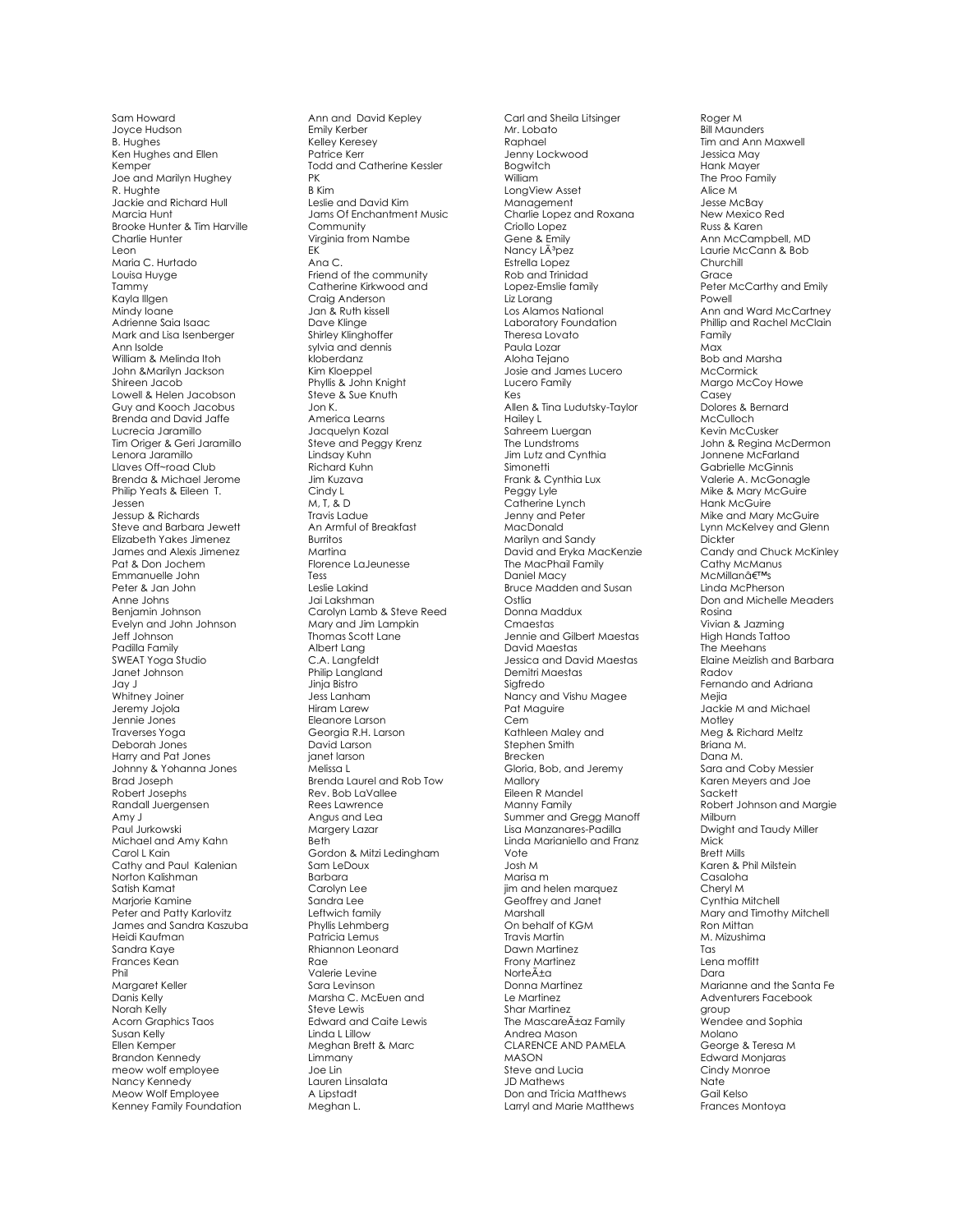Sam Howard Joyce Hudson B. Hughes Ken Hughes and Ellen Kemper Joe and Marilyn Hughey R. Hughte Jackie and Richard Hull Marcia Hunt Brooke Hunter & Tim Harville Charlie Hunter Leon Maria C. Hurtado Louisa Huyge Tammy Kayla Illgen Mindy Ioane Adrienne Saia Isaac Mark and Lisa Isenberger Ann Isolde William & Melinda Itoh John &Marilyn Jackson Shireen Jacob Lowell & Helen Jacobson Guy and Kooch Jacobus Brenda and David Jaffe Lucrecia Jaramillo Tim Origer & Geri Jaramillo Lenora Jaramillo Llaves Off~road Club Brenda & Michael Jerome Philip Yeats & Eileen T. Jessen Jessup & Richards Steve and Barbara Jewett Elizabeth Yakes Jimenez James and Alexis Jimenez Pat & Don Jochem Emmanuelle John Peter & Jan John Anne Johns Benjamin Johnson Evelyn and John Johnson Jeff Johnson Padilla Family SWEAT Yoga Studio Janet Johnson Jay J Whitney Joiner Jeremy Jojola Jennie Jones Traverses Yoga Deborah Jones Harry and Pat Jones Johnny & Yohanna Jones Brad Joseph Robert Josephs Randall Juergensen Amy J Paul Jurkowski Michael and Amy Kahn Carol L Kain Cathy and Paul Kalenian Norton Kalishman Satish Kamat Marjorie Kamine Peter and Patty Karlovitz James and Sandra Kaszuba Heidi Kaufman Sandra Kaye Frances Kean Phil Margaret Keller Danis Kelly Norah Kelly Acorn Graphics Taos Susan Kelly Ellen Kemper Brandon Kennedy meow wolf employee Nancy Kennedy Meow Wolf Employee Kenney Family Foundation

Ann and David Kepley Emily Kerber Kelley Keresey Patrice Kerr Todd and Catherine Kessler PK B Kim Leslie and David Kim Jams Of Enchantment Music Community Virginia from Nambe EK Ana C. Friend of the community Catherine Kirkwood and Craig Anderson Jan & Ruth kissell Dave Klinge Shirley Klinghoffer sylvia and dennis kloberdanz Kim Kloeppel Phyllis & John Knight Steve & Sue Knuth Jon K. America Learns Jacquelyn Kozal Steve and Peggy Krenz Lindsay Kuhn Richard Kuhn Jim Kuzava Cindy L M, T, & D Travis Ladue An Armful of Breakfast Burritos Martina Florence LaJeunesse Tess Leslie Lakind Jai Lakshman Carolyn Lamb & Steve Reed Mary and Jim Lampkin Thomas Scott Lane Albert Lang C.A. Langfeldt Philip Langland Jinja Bistro Jess Lanham Hiram Larew Eleanore Larson Georgia R.H. Larson David Larson janet larson Melissa L Brenda Laurel and Rob Tow Rev. Bob LaVallee Rees Lawrence Angus and Lea Margery Lazar **Beth** Gordon & Mitzi Ledingham Sam LeDoux Barbara Carolyn Lee Sandra Lee Leftwich family Phyllis Lehmberg Patricia Lemus Rhiannon Leonard Rae Valerie Levine Sara Levinson Marsha C. McEuen and Steve Lewis Edward and Caite Lewis Linda L Lillow Meghan Brett & Marc Limmany Joe Lin Lauren Linsalata A Lipstadt Meghan L.

Carl and Sheila Litsinger Mr. Lobato Raphael Jenny Lockwood Bogwitch William LongView Asset Management Charlie Lopez and Roxana Criollo Lopez Gene & Emily Nancy Lêpez Estrella Lopez Rob and Trinidad Lopez -Emslie family Liz Lorang Los Alamos National Laboratory Foundation Theresa Lovato Paula Lozar Aloha Tejano Josie and James Lucero Lucero Family Kes Allen & Tina Ludutsky -Taylor Hailey L Sahreem Luergan The Lundstroms Jim Lutz and Cynthia Simonetti Frank & Cynthia Lux Peggy Lyle Catherine Lynch Jenny and Peter MacDonald Marilyn and Sandy David and Eryka MacKenzie The MacPhail Family Daniel Macy Bruce Madden and Susan **Ostlia** Donna Maddux Cmaestas Jennie and Gilbert Maestas David Maestas Jessica and David Maestas Demitri Maestas Siafredo Nancy and Vishu Magee Pat Maguire Cem Kathleen Maley and Stephen Smith Brecken Gloria, Bob, and Jeremy Mallory Eileen R Mandel Manny Family Summer and Gregg Manoff Lisa Manzanares -Padilla Linda Marianiello and Franz Vote Josh M Marisa m jim and helen marquez Geoffrey and Janet **Marshall** On behalf of KGM Travis Martin Dawn Martinez Frony Martinez Norteña Donna Martinez Le Martinez Shar Martinez The Mascareñaz Family Andrea Mason CLARENCE AND PAMELA MASON Steve and Lucia JD Mathews Don and Tricia Matthews Larryl and Marie Matthews

Roger M Bill Maunders Tim and Ann Maxwell Jessica May Hank Mayer The Proo Family Alice M Jesse McBay New Mexico Red Russ & Karen Ann McCampbell, MD Laurie McCann & Bob Churchill Grace Peter McCarthy and Emily Powell Ann and Ward McCartney Phillip and Rachel McClain Family Max Bob and Marsha **McCormick** Margo McCoy Howe Casey Dolores & Bernard **McCulloch** Kevin McCusker John & Regina McDermon Jonnene McFarland Gabrielle McGinnis Valerie A. McGonagle Mike & Mary McGuire Hank McGuire Mike and Mary McGuire Lynn McKelvey and Glenn **Dickter** Candy and Chuck McKinley Cathy McManus McMillan's Linda McPherson Don and Michelle Meaders Rosina Vivian & Jazming High Hands Tattoo The Meehans Elaine Meizlish and Barbara Radov Fernando and Adriana Mejia Jackie M and Michael Motley Meg & Richard Meltz Briana M. Dana M. Sara and Coby Messier Karen Meyers and Joe Sackett Robert Johnson and Margie Milburn Dwight and Taudy Miller Mick Brett Mills Karen & Phil Milstein Casaloha Cheryl M Cynthia Mitchell Mary and Timothy Mitchell Ron Mitta n M. Mizushima Tas Lena moffitt Dara Marianne and the Santa Fe Adventurers Facebook group Wendee and Sophia Molano George & Teresa M Edward Monjaras Cindy Monroe Nate Gail Kelso Frances Montoya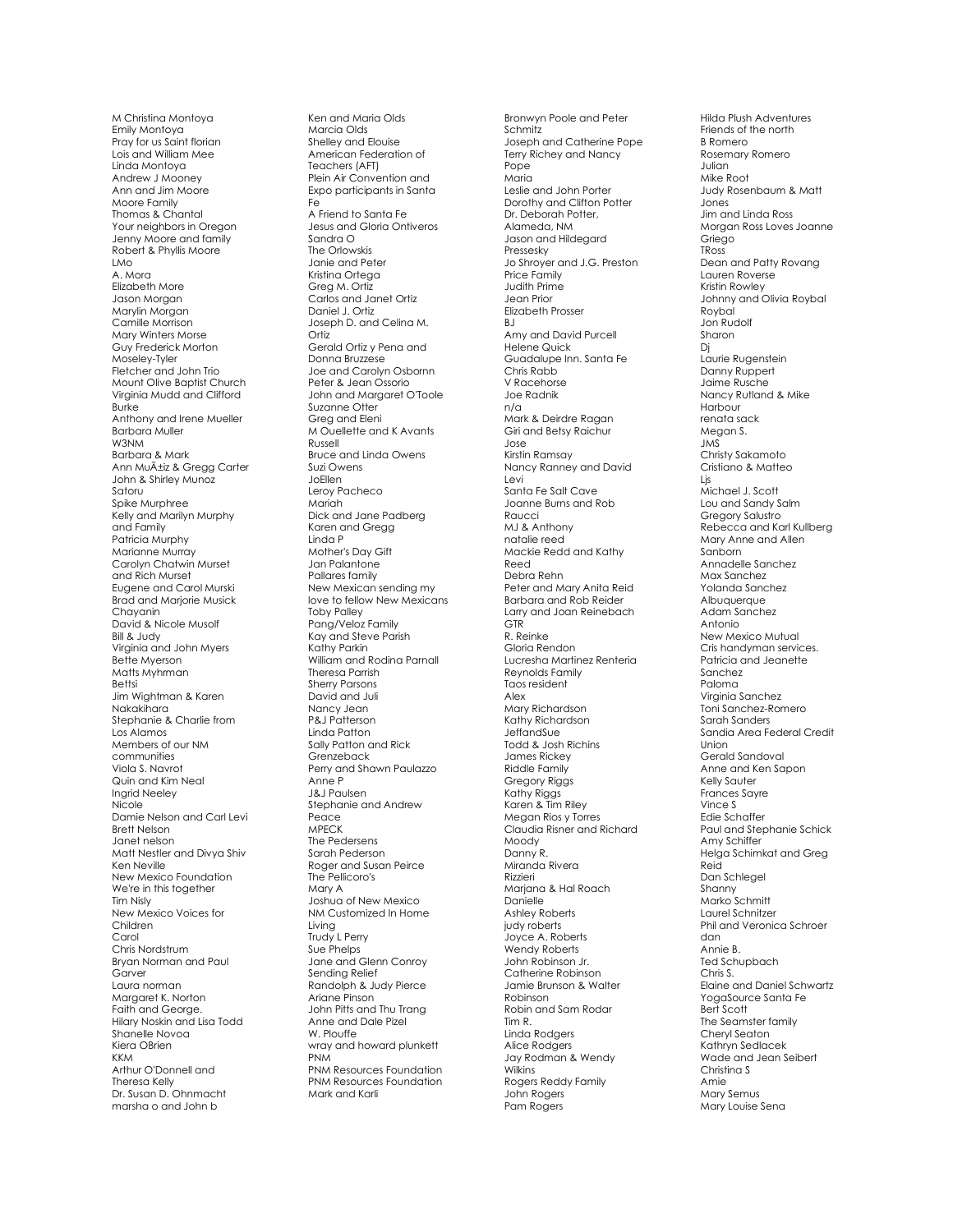M Christina Montoya Emily Montoya Pray for us Saint florian Lois and William Mee Linda Montoya Andrew J Mooney Ann and Jim Moore Moore Family Thomas & Chantal Your neighbors in Oregon Jenny Moore and family Robert & Phyllis Moore LMo A. Mora Elizabeth More Jason Morgan Marylin Morgan Camille Morrison Mary Winters Morse Guy Frederick Morton Moseley -Tyler Fletcher and John Trio Mount Olive Baptist Church Virginia Mudd and Clifford Burke Anthony and Irene Mueller Barbara Muller W3NM Barbara & Mark Ann Muñiz & Gregg Carter John & Shirley Munoz Satoru Spike Murphree Kelly and Marilyn Murphy and Family Patricia Murphy Marianne Murray Carolyn Chatwin Murset and Rich Murset Eugene and Carol Murski Brad and Marjorie Musick Chayanin David & Nicole Musolf Bill & Judy Virginia and John Myers Bette Myerson Matts Myhrman Bettsi Jim Wightman & Karen Nakakihara Stephanie & Charlie from Los Alamos Members of our NM communities Viola S. Navrot Quin and Kim Neal Ingrid Neeley Nicole Damie Nelson and Carl Levi Brett Nelson Janet nelson Matt Nestler and Divya Shiv Ken Neville New Mexico Foundation We're in this together Tim Nisly New Mexico Voices for Children Carol Chris Nordstrum Bryan Norman and Paul **Garver** Laura norman Margaret K. Norton Faith and George. Hilary Noskin and Lisa Todd Shanelle Novoa Kiera OBrien KKM Arthur O'Donnell and Theresa Kelly Dr. Susan D. Ohnmacht marsha o and John b

Ken and Maria Olds Marcia Olds Shelley and Elouise American Federation of Teachers (AFT) Plein Air Convention and Expo participants in Santa Fe A Friend to Santa Fe Jesus and Gloria Ontiveros Sandra O The Orlowskis Janie and Peter Kristina Ortega Greg M. Ortiz Carlos and Janet Ortiz Daniel J. Ortiz Joseph D. and Celina M. Ortiz<sup>1</sup> Gerald Ortiz y Pena and Donna Bruzzese Joe and Carolyn Osbornn Peter & Jean Ossorio John and Margaret O'Toole Suzanne Otter Greg and Eleni M Ouellette and K Avants Russell Bruce and Linda Owens Suzi Owens JoEllen<br>Leroy Pacheco Mariah Dick and Jane Padberg Karen and Gregg Linda P Mother's Day Gift Jan Palantone Pallares family New Mexican sending my love to fellow New Mexicans Toby Palley Pang/Veloz Family Kay and Steve Parish Kathy Parkin William and Rodina Parnall Theresa Parrish Sherry Parsons David and Juli Nancy Jean P&J Patterson Linda Patton Sally Patton and Rick Grenzeback Perry and Shawn Paulazzo Anne P J&J Paulsen Stephanie and Andrew Peace MPECK The Pedersens Sarah Pederson Roger and Susan Peirce The Pellicoro's Mary A Joshua of New Mexico NM Customized In Home Living<br>Trudy L Perry Sue Phelps Jane and Glenn Conroy Sending Relief Randolph & Judy Pierce Ariane Pinson John Pitts and Thu Trang Anne and Dale Pizel W. Plouffe wray and howard plunkett PNM PNM Resources Foundation PNM Resources Foundation Mark and Karli

Bronwyn Poole and Peter **Schmitz** Joseph and Catherine Pope Terry Richey and Nancy Pope Maria Leslie and John Porter Dorothy and Clifton Potter Dr. Deborah Potter, Alameda, NM Jason and Hildegard Pressesky Jo Shroyer and J.G. Preston Price Family Judith Prime Jean Prior Elizabeth Prosser R<sub>I</sub> Amy and David Purcell Helene Quick Guadalupe Inn. Santa Fe Chris Rabb V Racehorse Joe Radnik n/a Mark & Deirdre Ragan Giri and Betsy Raichur Jose Kirstin Ramsay Nancy Ranney and David Levi Santa Fe Salt Cave Joanne Burns and Rob Raucci MJ & Anthony natalie reed Mackie Redd and Kathy Reed Debra Rehn Peter and Mary Anita Reid Barbara and Rob Reider Larry and Joan Reinebach GTR R. Reinke Gloria Rendon Lucresha Martinez Renteria Reynolds Family Taos resident Alex Mary Richardson Kathy Richardson JeffandSue Todd & Josh Richins James Rickey Riddle Family Gregory Riggs Kathy Riggs Karen & Tim Riley Megan Rios y Torres Claudia Risner and Richard Moody Danny R. Miranda Rivera Rizzieri Marjana & Hal Roach Danielle Ashley Roberts judy roberts Joyce A. Roberts Wendy Roberts John Robinson Jr. Catherine Robinson Jamie Brunson & Walter Robinson Robin and Sam Rodar Tim R. Linda Rodgers Alice Rodgers Jay Rodman & Wendy Wilkins Rogers Reddy Family John Rogers Pam Rogers

Hilda Plush Adventures Friends of the north B Romero Rosemary Romero Julian Mike Root Judy Rosenbaum & Matt Jones Jim and Linda Ross Morgan Ross Loves Joanne Griego TRoss Dean and Patty Rovang Lauren Roverse Kristin Rowley Johnny and Olivia Roybal Roybal Jon Rudolf Sharon Dj Laurie Rugenstein Danny Ruppert Jaime Rusche Nancy Rutland & Mike Harbour renata sack Megan S. JMS Christy Sakamoto Cristiano & Matteo Ljs Michael J. Scott Lou and Sandy Salm Gregory Salustro Rebecca and Karl Kullberg Mary Anne and Allen Sanborn Annadelle Sanchez Max Sanchez Yolanda Sanchez Albuquerque Adam Sanchez Antonio New Mexico Mutual Cris handyman services. Patricia and Jeanette Sanchez Paloma Virginia Sanchez Toni Sanchez -Romero Sarah Sanders Sandia Area Federal Credit Union Gerald Sandoval Anne and Ken Sapon Kelly Sauter Frances Sayre Vince S Edie Schaffer Paul and Stephanie Schick Amy Schiffer Helga Schimkat and Greg Reid Dan Schlegel Shanny Marko Schmitt Laurel Schnitzer Phil and Veronica Schroer dan Annie B. Ted Schupbach Chris S. Elaine and Daniel Schwartz YogaSource Santa Fe Bert Scott The Seamster family Cheryl Seaton Kathryn Sedlacek Wade and Jean Seibert Christina S Amie Mary Semus Mary Louise Sena